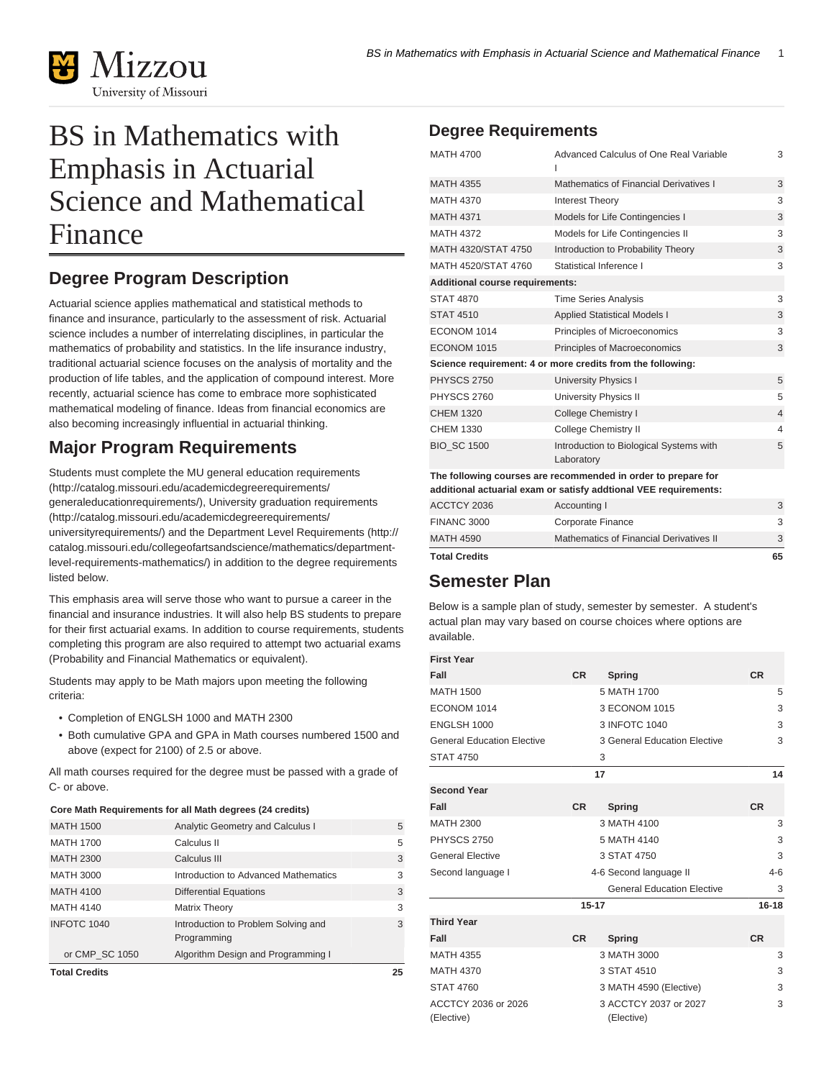

# BS in Mathematics with Emphasis in Actuarial Science and Mathematical Finance

# **Degree Program Description**

Actuarial science applies mathematical and statistical methods to finance and insurance, particularly to the assessment of risk. Actuarial science includes a number of interrelating disciplines, in particular the mathematics of probability and statistics. In the life insurance industry, traditional actuarial science focuses on the analysis of mortality and the production of life tables, and the application of compound interest. More recently, actuarial science has come to embrace more sophisticated mathematical modeling of finance. Ideas from financial economics are also becoming increasingly influential in actuarial thinking.

## **Major Program Requirements**

Students must complete the [MU general education requirements](http://catalog.missouri.edu/academicdegreerequirements/generaleducationrequirements/) ([http://catalog.missouri.edu/academicdegreerequirements/](http://catalog.missouri.edu/academicdegreerequirements/generaleducationrequirements/) [generaleducationrequirements/](http://catalog.missouri.edu/academicdegreerequirements/generaleducationrequirements/)), University [graduation requirements](http://catalog.missouri.edu/academicdegreerequirements/universityrequirements/) ([http://catalog.missouri.edu/academicdegreerequirements/](http://catalog.missouri.edu/academicdegreerequirements/universityrequirements/) [universityrequirements/\)](http://catalog.missouri.edu/academicdegreerequirements/universityrequirements/) and the [Department Level Requirements](http://catalog.missouri.edu/collegeofartsandscience/mathematics/department-level-requirements-mathematics/) ([http://](http://catalog.missouri.edu/collegeofartsandscience/mathematics/department-level-requirements-mathematics/) [catalog.missouri.edu/collegeofartsandscience/mathematics/department](http://catalog.missouri.edu/collegeofartsandscience/mathematics/department-level-requirements-mathematics/)[level-requirements-mathematics/](http://catalog.missouri.edu/collegeofartsandscience/mathematics/department-level-requirements-mathematics/)) in addition to the degree requirements listed below.

This emphasis area will serve those who want to pursue a career in the financial and insurance industries. It will also help BS students to prepare for their first actuarial exams. In addition to course requirements, students completing this program are also required to attempt two actuarial exams (Probability and Financial Mathematics or equivalent).

Students may apply to be Math majors upon meeting the following criteria:

- Completion of ENGLSH 1000 and MATH 2300
- Both cumulative GPA and GPA in Math courses numbered 1500 and above (expect for 2100) of 2.5 or above.

All math courses required for the degree must be passed with a grade of C- or above.

#### **Core Math Requirements for all Math degrees (24 credits)**

| <b>Total Credits</b> |                                      | 25 |
|----------------------|--------------------------------------|----|
| or CMP SC 1050       | Algorithm Design and Programming I   |    |
|                      | Programming                          |    |
| INFOTC 1040          | Introduction to Problem Solving and  | 3  |
| <b>MATH 4140</b>     | <b>Matrix Theory</b>                 | 3  |
| <b>MATH 4100</b>     | <b>Differential Equations</b>        | 3  |
| MATH 3000            | Introduction to Advanced Mathematics | 3  |
| <b>MATH 2300</b>     | Calculus III                         | 3  |
| <b>MATH 1700</b>     | Calculus II                          | 5  |
| <b>MATH 1500</b>     | Analytic Geometry and Calculus I     | 5  |
|                      |                                      |    |

### **Degree Requirements**

| <b>MATH 4700</b>                                                 | Advanced Calculus of One Real Variable                        | 3              |  |  |
|------------------------------------------------------------------|---------------------------------------------------------------|----------------|--|--|
| <b>MATH 4355</b>                                                 | Mathematics of Financial Derivatives I                        | 3              |  |  |
| <b>MATH 4370</b>                                                 | <b>Interest Theory</b>                                        | 3              |  |  |
| <b>MATH 4371</b>                                                 | Models for Life Contingencies I                               | 3              |  |  |
| <b>MATH 4372</b>                                                 | Models for Life Contingencies II                              | 3              |  |  |
| MATH 4320/STAT 4750                                              | Introduction to Probability Theory                            | 3              |  |  |
| MATH 4520/STAT 4760                                              | Statistical Inference I                                       | 3              |  |  |
| Additional course requirements:                                  |                                                               |                |  |  |
| <b>STAT 4870</b>                                                 | <b>Time Series Analysis</b>                                   | 3              |  |  |
| <b>STAT 4510</b>                                                 | <b>Applied Statistical Models I</b>                           | 3              |  |  |
| ECONOM 1014                                                      | Principles of Microeconomics                                  | 3              |  |  |
| ECONOM 1015                                                      | Principles of Macroeconomics                                  | 3              |  |  |
| Science requirement: 4 or more credits from the following:       |                                                               |                |  |  |
| <b>PHYSCS 2750</b>                                               | <b>University Physics I</b>                                   | 5              |  |  |
| <b>PHYSCS 2760</b>                                               | <b>University Physics II</b>                                  | 5              |  |  |
| <b>CHEM 1320</b>                                                 | College Chemistry I                                           | $\overline{4}$ |  |  |
| CHEM 1330                                                        | College Chemistry II                                          | 4              |  |  |
| <b>BIO SC 1500</b>                                               | Introduction to Biological Systems with<br>Laboratory         | 5              |  |  |
|                                                                  | The following courses are recommended in order to prepare for |                |  |  |
| additional actuarial exam or satisfy addtional VEE requirements: |                                                               |                |  |  |
| ACCTCY 2036                                                      | Accounting I                                                  | 3              |  |  |
| <b>FINANC 3000</b>                                               | Corporate Finance                                             | 3              |  |  |

| <b>Total Credits</b> |                                         | 65 |
|----------------------|-----------------------------------------|----|
| MATH 4590            | Mathematics of Financial Derivatives II |    |
| FINANC 3000          | Corporate Finance                       |    |

### **Semester Plan**

Below is a sample plan of study, semester by semester. A student's actual plan may vary based on course choices where options are available.

| <b>First Year</b> |  |
|-------------------|--|

| First Year                        |           |                                     |           |
|-----------------------------------|-----------|-------------------------------------|-----------|
| Fall                              | <b>CR</b> | Spring                              | <b>CR</b> |
| <b>MATH 1500</b>                  |           | 5 MATH 1700                         | 5         |
| ECONOM 1014                       |           | 3 ECONOM 1015                       | 3         |
| ENGLSH 1000                       |           | 3 INFOTC 1040                       | 3         |
| <b>General Education Elective</b> |           | 3 General Education Elective        | 3         |
| <b>STAT 4750</b>                  |           | 3                                   |           |
|                                   |           | 17                                  | 14        |
| <b>Second Year</b>                |           |                                     |           |
| Fall                              | <b>CR</b> | Spring                              | <b>CR</b> |
| <b>MATH 2300</b>                  |           | 3 MATH 4100                         | 3         |
| PHYSCS 2750                       |           | 5 MATH 4140                         | 3         |
| <b>General Elective</b>           |           | 3 STAT 4750                         | 3         |
| Second language I                 |           | 4-6 Second language II              | $4 - 6$   |
|                                   |           | <b>General Education Elective</b>   | 3         |
|                                   | $15 - 17$ |                                     | $16 - 18$ |
| <b>Third Year</b>                 |           |                                     |           |
| Fall                              | <b>CR</b> | Spring                              | <b>CR</b> |
| <b>MATH 4355</b>                  |           | 3 MATH 3000                         | 3         |
| <b>MATH 4370</b>                  |           | 3 STAT 4510                         | 3         |
| <b>STAT 4760</b>                  |           | 3 MATH 4590 (Elective)              | 3         |
| ACCTCY 2036 or 2026<br>(Elective) |           | 3 ACCTCY 2037 or 2027<br>(Elective) | 3         |